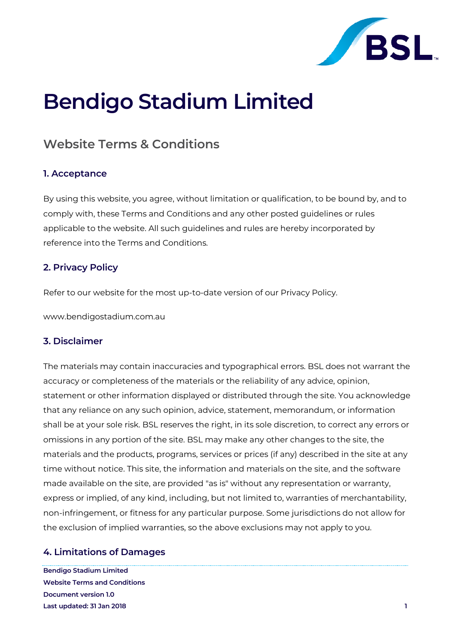

# **Bendigo Stadium Limited**

# **Website Terms & Conditions**

#### **1. Acceptance**

By using this website, you agree, without limitation or qualification, to be bound by, and to comply with, these Terms and Conditions and any other posted guidelines or rules applicable to the website. All such guidelines and rules are hereby incorporated by reference into the Terms and Conditions.

#### **2. Privacy Policy**

Refer to our website for the most up-to-date version of our Privacy Policy.

www.bendigostadium.com.au

#### **3. Disclaimer**

The materials may contain inaccuracies and typographical errors. BSL does not warrant the accuracy or completeness of the materials or the reliability of any advice, opinion, statement or other information displayed or distributed through the site. You acknowledge that any reliance on any such opinion, advice, statement, memorandum, or information shall be at your sole risk. BSL reserves the right, in its sole discretion, to correct any errors or omissions in any portion of the site. BSL may make any other changes to the site, the materials and the products, programs, services or prices (if any) described in the site at any time without notice. This site, the information and materials on the site, and the software made available on the site, are provided "as is" without any representation or warranty, express or implied, of any kind, including, but not limited to, warranties of merchantability, non-infringement, or fitness for any particular purpose. Some jurisdictions do not allow for the exclusion of implied warranties, so the above exclusions may not apply to you.

# **4. Limitations of Damages**

**Bendigo Stadium Limited Website Terms and Conditions Document version 1.0 Last updated: 31 Jan 2018 1**